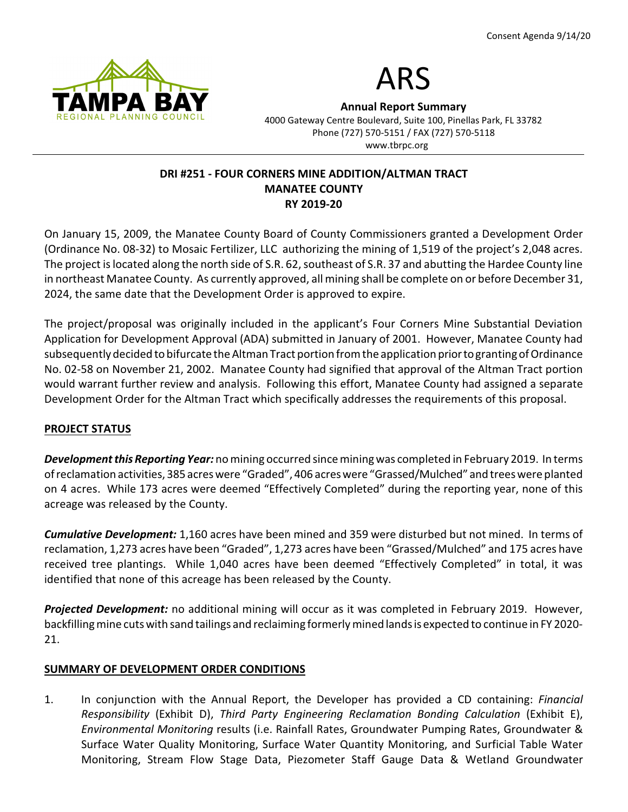



**Annual Report Summary**

4000 Gateway Centre Boulevard, Suite 100, Pinellas Park, FL 33782 Phone (727) 570-5151 / FAX (727) 570-5118 www.tbrpc.org

# **DRI #251 - FOUR CORNERS MINE ADDITION/ALTMAN TRACT MANATEE COUNTY RY 2019-20**

On January 15, 2009, the Manatee County Board of County Commissioners granted a Development Order (Ordinance No. 08-32) to Mosaic Fertilizer, LLC authorizing the mining of 1,519 of the project's 2,048 acres. The project is located along the north side of S.R. 62, southeast of S.R. 37 and abutting the Hardee County line in northeast Manatee County. As currently approved, all mining shall be complete on or before December 31, 2024, the same date that the Development Order is approved to expire.

The project/proposal was originally included in the applicant's Four Corners Mine Substantial Deviation Application for Development Approval (ADA) submitted in January of 2001. However, Manatee County had subsequently decided to bifurcate the Altman Tract portion from the application prior to granting of Ordinance No. 02-58 on November 21, 2002. Manatee County had signified that approval of the Altman Tract portion would warrant further review and analysis. Following this effort, Manatee County had assigned a separate Development Order for the Altman Tract which specifically addresses the requirements of this proposal.

## **PROJECT STATUS**

*Development this Reporting Year:* no mining occurred since mining was completed in February 2019. In terms ofreclamation activities, 385 acres were "Graded", 406 acres were "Grassed/Mulched" and trees were planted on 4 acres. While 173 acres were deemed "Effectively Completed" during the reporting year, none of this acreage was released by the County.

*Cumulative Development:* 1,160 acres have been mined and 359 were disturbed but not mined. In terms of reclamation, 1,273 acres have been "Graded", 1,273 acres have been "Grassed/Mulched" and 175 acres have received tree plantings. While 1,040 acres have been deemed "Effectively Completed" in total, it was identified that none of this acreage has been released by the County.

*Projected Development:* no additional mining will occur as it was completed in February 2019. However, backfilling mine cuts with sand tailings and reclaiming formerly mined lands is expected to continue in FY 2020- 21.

## **SUMMARY OF DEVELOPMENT ORDER CONDITIONS**

1. In conjunction with the Annual Report, the Developer has provided a CD containing: *Financial Responsibility* (Exhibit D), *Third Party Engineering Reclamation Bonding Calculation* (Exhibit E), *Environmental Monitoring* results (i.e. Rainfall Rates, Groundwater Pumping Rates, Groundwater & Surface Water Quality Monitoring, Surface Water Quantity Monitoring, and Surficial Table Water Monitoring, Stream Flow Stage Data, Piezometer Staff Gauge Data & Wetland Groundwater